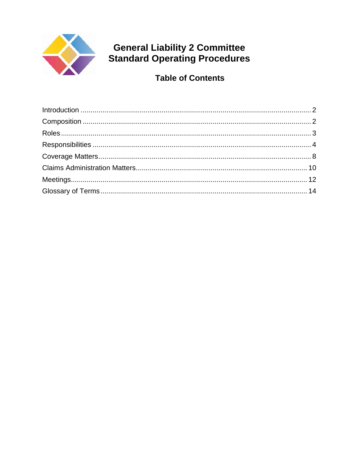

# **General Liability 2 Committee<br>Standard Operating Procedures**

**Table of Contents**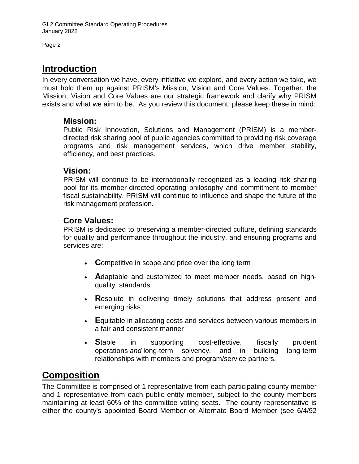## <span id="page-1-0"></span>**Introduction**

In every conversation we have, every initiative we explore, and every action we take, we must hold them up against PRISM's Mission, Vision and Core Values. Together, the Mission, Vision and Core Values are our strategic framework and clarify why PRISM exists and what we aim to be. As you review this document, please keep these in mind:

#### **Mission:**

Public Risk Innovation, Solutions and Management (PRISM) is a memberdirected risk sharing pool of public agencies committed to providing risk coverage programs and risk management services, which drive member stability, efficiency, and best practices.

#### **Vision:**

PRISM will continue to be internationally recognized as a leading risk sharing pool for its member-directed operating philosophy and commitment to member fiscal sustainability. PRISM will continue to influence and shape the future of the risk management profession.

## **Core Values:**

PRISM is dedicated to preserving a member-directed culture, defining standards for quality and performance throughout the industry, and ensuring programs and services are:

- **C**ompetitive in scope and price over the long term
- **A**daptable and customized to meet member needs, based on highquality standards
- **R**esolute in delivering timely solutions that address present and emerging risks
- **E**quitable in allocating costs and services between various members in a fair and consistent manner
- **S**table in supporting cost-effective, fiscally prudent operations *and* long-term solvency, and in building long-term relationships with members and program/service partners.

# <span id="page-1-1"></span>**Composition**

The Committee is comprised of 1 representative from each participating county member and 1 representative from each public entity member, subject to the county members maintaining at least 60% of the committee voting seats. The county representative is either the county's appointed Board Member or Alternate Board Member (see 6/4/92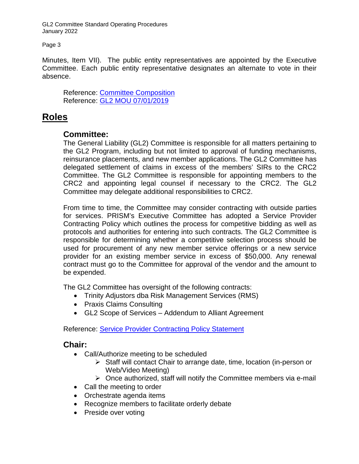Page 3

Minutes, Item VII). The public entity representatives are appointed by the Executive Committee. Each public entity representative designates an alternate to vote in their absence.

Reference: [Committee Composition](http://www.prismrisk.gov/committees/general-liability-ii/) Reference: GL2 [MOU 07/01/2019](http://www.prismrisk.gov/resources/prism-documents/memorandums-of-understanding/general-liability-ii/)

## <span id="page-2-0"></span>**Roles**

## **Committee:**

The General Liability (GL2) Committee is responsible for all matters pertaining to the GL2 Program, including but not limited to approval of funding mechanisms, reinsurance placements, and new member applications. The GL2 Committee has delegated settlement of claims in excess of the members' SIRs to the CRC2 Committee. The GL2 Committee is responsible for appointing members to the CRC2 and appointing legal counsel if necessary to the CRC2. The GL2 Committee may delegate additional responsibilities to CRC2.

From time to time, the Committee may consider contracting with outside parties for services. PRISM's Executive Committee has adopted a Service Provider Contracting Policy which outlines the process for competitive bidding as well as protocols and authorities for entering into such contracts. The GL2 Committee is responsible for determining whether a competitive selection process should be used for procurement of any new member service offerings or a new service provider for an existing member service in excess of \$50,000. Any renewal contract must go to the Committee for approval of the vendor and the amount to be expended.

The GL2 Committee has oversight of the following contracts:

- Trinity Adjustors dba Risk Management Services (RMS)
- Praxis Claims Consulting
- GL2 Scope of Services Addendum to Alliant Agreement

Reference: [Service Provider Contracting Policy Statement](https://www.prismrisk.gov/resources/prism-documents/policies-resolutions/policy-statement-regarding-service-provider-contract-review/)

## **Chair:**

- Call/Authorize meeting to be scheduled
	- $\triangleright$  Staff will contact Chair to arrange date, time, location (in-person or Web/Video Meeting)
	- $\triangleright$  Once authorized, staff will notify the Committee members via e-mail
- Call the meeting to order
- Orchestrate agenda items
- Recognize members to facilitate orderly debate
- Preside over voting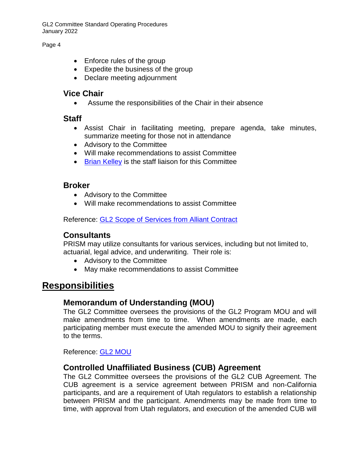Page 4

- Enforce rules of the group
- Expedite the business of the group
- Declare meeting adjournment

#### **Vice Chair**

• Assume the responsibilities of the Chair in their absence

#### **Staff**

- Assist Chair in facilitating meeting, prepare agenda, take minutes, summarize meeting for those not in attendance
- Advisory to the Committee
- Will make recommendations to assist Committee
- [Brian Kelley](mailto:bkelley@prismrisk.gov) is the staff liaison for this Committee

## **Broker**

- Advisory to the Committee
- Will make recommendations to assist Committee

Reference: GL2 [Scope of Services from Alliant Contract](https://www.prismrisk.gov/documents/Exec/alliant-brokerage-contract/)

## **Consultants**

PRISM may utilize consultants for various services, including but not limited to, actuarial, legal advice, and underwriting. Their role is:

- Advisory to the Committee
- May make recommendations to assist Committee

## <span id="page-3-0"></span>**Responsibilities**

## **Memorandum of Understanding (MOU)**

The GL2 Committee oversees the provisions of the GL2 Program MOU and will make amendments from time to time. When amendments are made, each participating member must execute the amended MOU to signify their agreement to the terms.

Reference: GL2 [MOU](http://www.prismrisk.gov/resources/prism-documents/memorandums-of-understanding/general-liability-ii/)

## **Controlled Unaffiliated Business (CUB) Agreement**

The GL2 Committee oversees the provisions of the GL2 CUB Agreement. The CUB agreement is a service agreement between PRISM and non-California participants, and are a requirement of Utah regulators to establish a relationship between PRISM and the participant. Amendments may be made from time to time, with approval from Utah regulators, and execution of the amended CUB will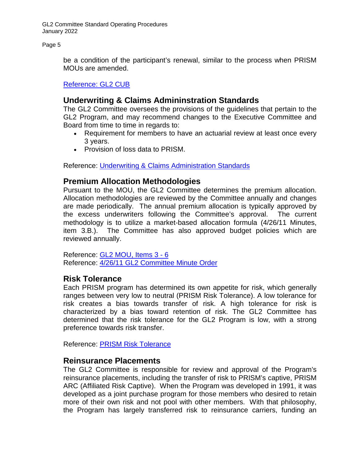Page 5

be a condition of the participant's renewal, similar to the process when PRISM MOUs are amended.

[Reference:](https://www.prismrisk.gov/documents/glii/prism-gl2-cub-agreement/) GL2 CUB

## **Underwriting & Claims Admininstration Standards**

The GL2 Committee oversees the provisions of the guidelines that pertain to the GL2 Program, and may recommend changes to the Executive Committee and Board from time to time in regards to:

- Requirement for members to have an actuarial review at least once every 3 years.
- Provision of loss data to PRISM.

Reference: [Underwriting & Claims Administration Standards](https://www.prismrisk.gov/resources/prism-documents/program-administration/underwriting-claims-and-administration-standards/)

## **Premium Allocation Methodologies**

Pursuant to the MOU, the GL2 Committee determines the premium allocation. Allocation methodologies are reviewed by the Committee annually and changes are made periodically. The annual premium allocation is typically approved by the excess underwriters following the Committee's approval. The current methodology is to utilize a market-based allocation formula (4/26/11 Minutes, item 3.B.). The Committee has also approved budget policies which are reviewed annually.

Reference: GL2 [MOU, Items 3 -](http://www.prismrisk.gov/resources/prism-documents/memorandums-of-understanding/general-liability-ii/) 6 Reference: 4/26/11 GL2 [Committee Minute Order](http://www.prismrisk.gov/documents/glii/glii-minord-042611-pdf/)

## **Risk Tolerance**

Each PRISM program has determined its own appetite for risk, which generally ranges between very low to neutral (PRISM Risk Tolerance). A low tolerance for risk creates a bias towards transfer of risk. A high tolerance for risk is characterized by a bias toward retention of risk. The GL2 Committee has determined that the risk tolerance for the GL2 Program is low, with a strong preference towards risk transfer.

Reference: [PRISM Risk Tolerance](https://www.prismrisk.gov/documents/other-docs/eia-risk-retention-philosophy/)

#### **Reinsurance Placements**

The GL2 Committee is responsible for review and approval of the Program's reinsurance placements, including the transfer of risk to PRISM's captive, PRISM ARC (Affiliated Risk Captive). When the Program was developed in 1991, it was developed as a joint purchase program for those members who desired to retain more of their own risk and not pool with other members. With that philosophy, the Program has largely transferred risk to reinsurance carriers, funding an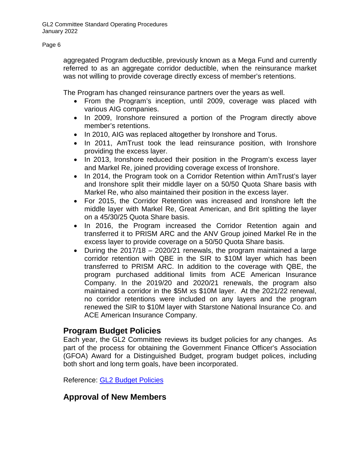aggregated Program deductible, previously known as a Mega Fund and currently referred to as an aggregate corridor deductible, when the reinsurance market was not willing to provide coverage directly excess of member's retentions.

The Program has changed reinsurance partners over the years as well.

- From the Program's inception, until 2009, coverage was placed with various AIG companies.
- In 2009, Ironshore reinsured a portion of the Program directly above member's retentions.
- In 2010, AIG was replaced altogether by Ironshore and Torus.
- In 2011, AmTrust took the lead reinsurance position, with Ironshore providing the excess layer.
- In 2013, Ironshore reduced their position in the Program's excess layer and Markel Re, joined providing coverage excess of Ironshore.
- In 2014, the Program took on a Corridor Retention within AmTrust's layer and Ironshore split their middle layer on a 50/50 Quota Share basis with Markel Re, who also maintained their position in the excess layer.
- For 2015, the Corridor Retention was increased and Ironshore left the middle layer with Markel Re, Great American, and Brit splitting the layer on a 45/30/25 Quota Share basis.
- In 2016, the Program increased the Corridor Retention again and transferred it to PRISM ARC and the ANV Group joined Markel Re in the excess layer to provide coverage on a 50/50 Quota Share basis.
- During the 2017/18 2020/21 renewals, the program maintained a large corridor retention with QBE in the SIR to \$10M layer which has been transferred to PRISM ARC. In addition to the coverage with QBE, the program purchased additional limits from ACE American Insurance Company. In the 2019/20 and 2020/21 renewals, the program also maintained a corridor in the \$5M xs \$10M layer. At the 2021/22 renewal, no corridor retentions were included on any layers and the program renewed the SIR to \$10M layer with Starstone National Insurance Co. and ACE American Insurance Company.

## **Program Budget Policies**

Each year, the GL2 Committee reviews its budget policies for any changes. As part of the process for obtaining the Government Finance Officer's Association (GFOA) Award for a Distinguished Budget, program budget polices, including both short and long term goals, have been incorporated.

Reference: GL2 [Budget Policies](https://www.prismrisk.gov/documents/budget-policies/GL2-program-budget-policy-pdf/) 

## **Approval of New Members**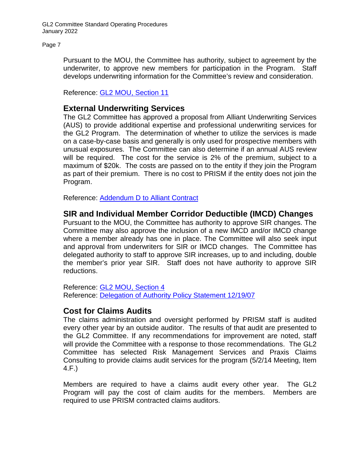Page 7

Pursuant to the MOU, the Committee has authority, subject to agreement by the underwriter, to approve new members for participation in the Program. Staff develops underwriting information for the Committee's review and consideration.

Reference: GL2 [MOU, Section 11](https://www.prismrisk.gov/resources/prism-documents/governing-documents/general-liability-2-memorandum-of-understanding/)

## **External Underwriting Services**

The GL2 Committee has approved a proposal from Alliant Underwriting Services (AUS) to provide additional expertise and professional underwriting services for the GL2 Program. The determination of whether to utilize the services is made on a case-by-case basis and generally is only used for prospective members with unusual exposures. The Committee can also determine if an annual AUS review will be required. The cost for the service is 2% of the premium, subject to a maximum of \$20k. The costs are passed on to the entity if they join the Program as part of their premium. There is no cost to PRISM if the entity does not join the Program.

Reference: [Addendum D to Alliant Contract](http://www.prismrisk.gov/documents/other-docs/alliant-eia-contract-2014-final-uw-services-pdf/)

## **SIR and Individual Member Corridor Deductible (IMCD) Changes**

Pursuant to the MOU, the Committee has authority to approve SIR changes. The Committee may also approve the inclusion of a new IMCD and/or IMCD change where a member already has one in place. The Committee will also seek input and approval from underwriters for SIR or IMCD changes. The Committee has delegated authority to staff to approve SIR increases, up to and including, double the member's prior year SIR. Staff does not have authority to approve SIR reductions.

Reference: GL2 [MOU, Section 4](http://www.prismrisk.gov/resources/prism-documents/memorandums-of-understanding/general-liability-ii/) Reference: [Delegation of Authority Policy Statement 12/19/07](https://www.prismrisk.gov/documents/other-docs/gl2-delegation-auth-policy-stmnt-pdf/)

## **Cost for Claims Audits**

The claims administration and oversight performed by PRISM staff is audited every other year by an outside auditor. The results of that audit are presented to the GL2 Committee. If any recommendations for improvement are noted, staff will provide the Committee with a response to those recommendations. The GL2 Committee has selected Risk Management Services and Praxis Claims Consulting to provide claims audit services for the program (5/2/14 Meeting, Item 4.F.)

Members are required to have a claims audit every other year. The GL2 Program will pay the cost of claim audits for the members. Members are required to use PRISM contracted claims auditors.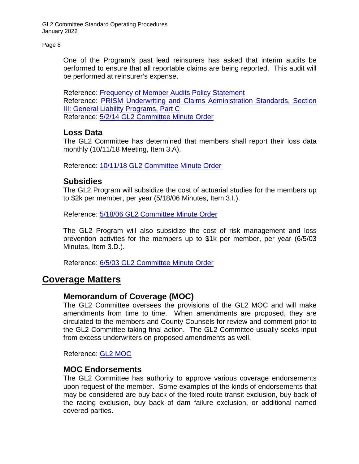Page 8

One of the Program's past lead reinsurers has asked that interim audits be performed to ensure that all reportable claims are being reported. This audit will be performed at reinsurer's expense.

Reference: [Frequency of Member Audits Policy Statement](https://www.prismrisk.gov/documents/glii/gl2-frequency-of-member-audits-policy-statement/) Reference: [PRISM Underwriting and Claims Administration Standards, Section](https://www.prismrisk.gov/resources/prism-documents/program-administration/underwriting-claims-and-administration-standards/)  [III: General Liability Programs, Part C](https://www.prismrisk.gov/resources/prism-documents/program-administration/underwriting-claims-and-administration-standards/) Reference: 5/2/14 GL2 [Committee Minute Order](http://www.prismrisk.gov/documents/glii/glii-minord-050214-pdf/)

## **Loss Data**

The GL2 Committee has determined that members shall report their loss data monthly (10/11/18 Meeting, Item 3.A).

Reference: [10/11/18 GL2 Committee Minute Order](https://www.prismrisk.gov/documents/glii/glii-minord-101118-pdf/)

#### **Subsidies**

The GL2 Program will subsidize the cost of actuarial studies for the members up to \$2k per member, per year (5/18/06 Minutes, Item 3.I.).

Reference: 5/18/06 GL2 [Committee Minute Order](http://www.prismrisk.gov/documents/glii/glii-minord-051806-pdf/)

The GL2 Program will also subsidize the cost of risk management and loss prevention activites for the members up to \$1k per member, per year (6/5/03 Minutes, Item 3.D.).

Reference: [6/5/03 GL2 Committee Minute Order](https://www.prismrisk.gov/documents/glii/glii-minord-060503-pdf/)

## <span id="page-7-0"></span>**Coverage Matters**

#### **Memorandum of Coverage (MOC)**

The GL2 Committee oversees the provisions of the GL2 MOC and will make amendments from time to time. When amendments are proposed, they are circulated to the members and County Counsels for review and comment prior to the GL2 Committee taking final action. The GL2 Committee usually seeks input from excess underwriters on proposed amendments as well.

Reference: GL2 [MOC](https://www.prismrisk.gov/documents/glii/gl-ii-moc-1718-final-with-universal-endorsements-with-updated-u-7-pdf/)

#### **MOC Endorsements**

The GL2 Committee has authority to approve various coverage endorsements upon request of the member. Some examples of the kinds of endorsements that may be considered are buy back of the fixed route transit exclusion, buy back of the racing exclusion, buy back of dam failure exclusion, or additional named covered parties.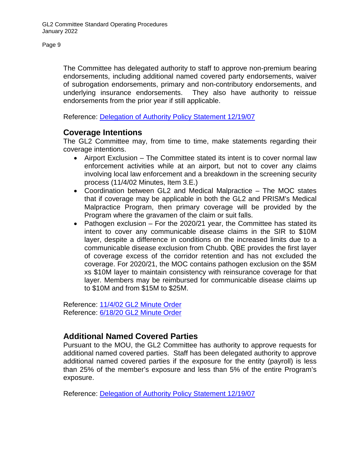The Committee has delegated authority to staff to approve non-premium bearing endorsements, including additional named covered party endorsements, waiver of subrogation endorsements, primary and non-contributory endorsements, and underlying insurance endorsements. They also have authority to reissue endorsements from the prior year if still applicable.

Reference: [Delegation of Authority Policy Statement 12/19/07](https://www.prismrisk.gov/documents/other-docs/gl2-delegation-auth-policy-stmnt-pdf/)

## **Coverage Intentions**

The GL2 Committee may, from time to time, make statements regarding their coverage intentions.

- Airport Exclusion The Committee stated its intent is to cover normal law enforcement activities while at an airport, but not to cover any claims involving local law enforcement and a breakdown in the screening security process (11/4/02 Minutes, Item 3.E.)
- Coordination between GL2 and Medical Malpractice The MOC states that if coverage may be applicable in both the GL2 and PRISM's Medical Malpractice Program, then primary coverage will be provided by the Program where the gravamen of the claim or suit falls.
- Pathogen exclusion For the 2020/21 year, the Committee has stated its intent to cover any communicable disease claims in the SIR to \$10M layer, despite a difference in conditions on the increased limits due to a communicable disease exclusion from Chubb. QBE provides the first layer of coverage excess of the corridor retention and has not excluded the coverage. For 2020/21, the MOC contains pathogen exclusion on the \$5M xs \$10M layer to maintain consistency with reinsurance coverage for that layer. Members may be reimbursed for communicable disease claims up to \$10M and from \$15M to \$25M.

Reference: 11/4/02 GL2 [Minute Order](https://www.prismrisk.gov/documents/glii/glii-minord-110402-pdf/) Reference: [6/18/20 GL2 Minute Order](https://www.prismrisk.gov/documents/glii/gl2-open-minord-3c-061820-pdf/)

## **Additional Named Covered Parties**

Pursuant to the MOU, the GL2 Committee has authority to approve requests for additional named covered parties. Staff has been delegated authority to approve additional named covered parties if the exposure for the entity (payroll) is less than 25% of the member's exposure and less than 5% of the entire Program's exposure.

Reference: Delegation of Authority [Policy Statement 12/19/07](https://www.prismrisk.gov/documents/other-docs/gl2-delegation-auth-policy-stmnt-pdf/)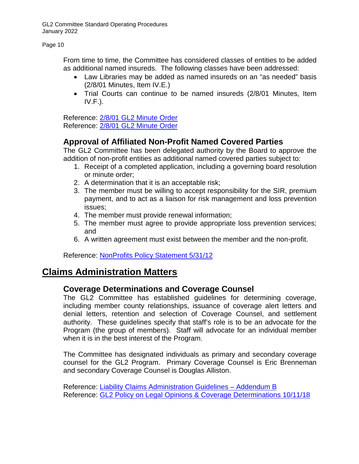Page 10

From time to time, the Committee has considered classes of entities to be added as additional named insureds. The following classes have been addressed:

- Law Libraries may be added as named insureds on an "as needed" basis (2/8/01 Minutes, Item IV.E.)
- Trial Courts can continue to be named insureds (2/8/01 Minutes, Item  $IV.F.$ ).

Reference: [2/8/01 GL2 Minute Order](https://www.prismrisk.gov/documents/glii/gliii-minord-020801-iv-e-pdfiv-e-pdf/) Reference: [2/8/01 GL2 Minute Order](https://www.prismrisk.gov/documents/glii/glii-minord-020801-iv-f-pdf/)

## **Approval of Affiliated Non-Profit Named Covered Parties**

The GL2 Committee has been delegated authority by the Board to approve the addition of non-profit entities as additional named covered parties subject to:

- 1. Receipt of a completed application, including a governing board resolution or minute order;
- 2. A determination that it is an acceptable risk;
- 3. The member must be willing to accept responsibility for the SIR, premium payment, and to act as a liaison for risk management and loss prevention issues;
- 4. The member must provide renewal information;
- 5. The member must agree to provide appropriate loss prevention services; and
- 6. A written agreement must exist between the member and the non-profit.

Reference: [NonProfits Policy Statement 5/31/12](http://www.prismrisk.gov/documents/other-docs/non-profits-policystatement-final-053112-pdf/)

## <span id="page-9-0"></span>**Claims Administration Matters**

#### **Coverage Determinations and Coverage Counsel**

The GL2 Committee has established guidelines for determining coverage, including member county relationships, issuance of coverage alert letters and denial letters, retention and selection of Coverage Counsel, and settlement authority. These guidelines specify that staff's role is to be an advocate for the Program (the group of members). Staff will advocate for an individual member when it is in the best interest of the Program.

The Committee has designated individuals as primary and secondary coverage counsel for the GL2 Program. Primary Coverage Counsel is Eric Brenneman and secondary Coverage Counsel is Douglas Alliston.

Reference: [Liability Claims Administration Guidelines –](http://www.prismrisk.gov/resources/prism-documents/claims/standards/addendum-b-liability/) Addendum B Reference: GL2 [Policy on Legal Opinions & Coverage Determinations 10/11/18](http://www.prismrisk.gov/documents/other-docs/gl2-plcy-lgl-ops-cvrg-determs-022102-pdf/)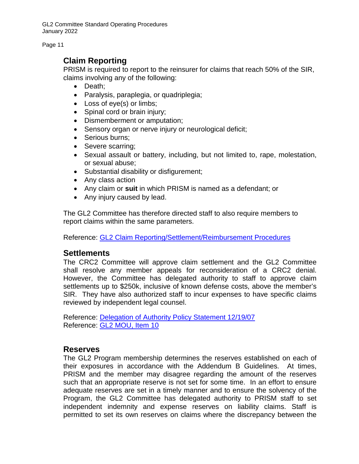Page 11

## **Claim Reporting**

PRISM is required to report to the reinsurer for claims that reach 50% of the SIR, claims involving any of the following:

- Death;
- Paralysis, paraplegia, or quadriplegia;
- Loss of eye(s) or limbs;
- Spinal cord or brain injury;
- Dismemberment or amputation;
- Sensory organ or nerve injury or neurological deficit;
- Serious burns:
- Severe scarring;
- Sexual assault or battery, including, but not limited to, rape, molestation, or sexual abuse;
- Substantial disability or disfigurement;
- Any class action
- Any claim or **suit** in which PRISM is named as a defendant; or
- Any injury caused by lead.

The GL2 Committee has therefore directed staff to also require members to report claims within the same parameters.

Reference: GL2 [Claim Reporting/Settlement/Reimbursement Procedures](https://www.prismrisk.gov/resources/prism-documents/claims/procedures/gl1-gl2-reporting-settlement-reimbursement/)

## **Settlements**

The CRC2 Committee will approve claim settlement and the GL2 Committee shall resolve any member appeals for reconsideration of a CRC2 denial. However, the Committee has delegated authority to staff to approve claim settlements up to \$250k, inclusive of known defense costs, above the member's SIR. They have also authorized staff to incur expenses to have specific claims reviewed by independent legal counsel.

Reference: [Delegation of Authority Policy Statement 12/19/07](http://www.prismrisk.gov/documents/other-docs/gl2-delegation-auth-policy-stmnt-pdf/) Reference: [GL2 MOU, Item 10](http://www.prismrisk.gov/resources/prism-documents/memorandums-of-understanding/general-liability-ii/)

#### **Reserves**

The GL2 Program membership determines the reserves established on each of their exposures in accordance with the Addendum B Guidelines. At times, PRISM and the member may disagree regarding the amount of the reserves such that an appropriate reserve is not set for some time. In an effort to ensure adequate reserves are set in a timely manner and to ensure the solvency of the Program, the GL2 Committee has delegated authority to PRISM staff to set independent indemnity and expense reserves on liability claims. Staff is permitted to set its own reserves on claims where the discrepancy between the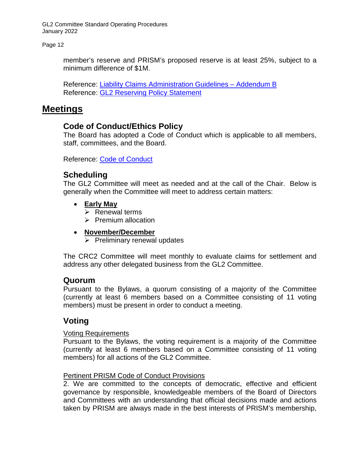Page 12

member's reserve and PRISM's proposed reserve is at least 25%, subject to a minimum difference of \$1M.

Reference: [Liability Claims Administration Guidelines –](http://www.prismrisk.gov/resources/prism-documents/claims/standards/addendum-b-liability/) Addendum B Reference: [GL2 Reserving Policy Statement](https://www.prismrisk.gov/resources/prism-documents/policies-resolutions/policy-statement-regarding-general-liability-staff-reserve-setting/)

## <span id="page-11-0"></span>**Meetings**

## **Code of Conduct/Ethics Policy**

The Board has adopted a Code of Conduct which is applicable to all members, staff, committees, and the Board.

Reference: [Code of Conduct](http://www.prismrisk.gov/resources/prism-documents/policies-resolutions/code-of-conduct/)

## **Scheduling**

The GL2 Committee will meet as needed and at the call of the Chair. Below is generally when the Committee will meet to address certain matters:

- **Early May** 
	- $\triangleright$  Renewal terms
	- $\triangleright$  Premium allocation
- **November/December** 
	- $\triangleright$  Preliminary renewal updates

The CRC2 Committee will meet monthly to evaluate claims for settlement and address any other delegated business from the GL2 Committee.

#### **Quorum**

Pursuant to the Bylaws, a quorum consisting of a majority of the Committee (currently at least 6 members based on a Committee consisting of 11 voting members) must be present in order to conduct a meeting.

## **Voting**

#### Voting Requirements

Pursuant to the Bylaws, the voting requirement is a majority of the Committee (currently at least 6 members based on a Committee consisting of 11 voting members) for all actions of the GL2 Committee.

#### Pertinent PRISM Code of Conduct Provisions

2. We are committed to the concepts of democratic, effective and efficient governance by responsible, knowledgeable members of the Board of Directors and Committees with an understanding that official decisions made and actions taken by PRISM are always made in the best interests of PRISM's membership,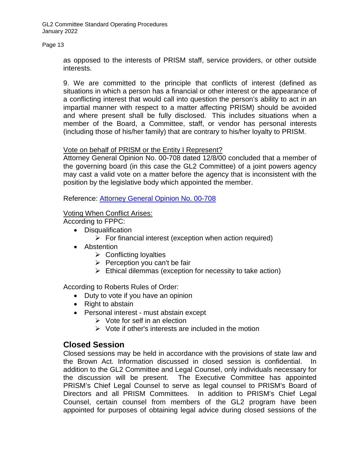#### Page 13

as opposed to the interests of PRISM staff, service providers, or other outside interests.

9. We are committed to the principle that conflicts of interest (defined as situations in which a person has a financial or other interest or the appearance of a conflicting interest that would call into question the person's ability to act in an impartial manner with respect to a matter affecting PRISM) should be avoided and where present shall be fully disclosed. This includes situations when a member of the Board, a Committee, staff, or vendor has personal interests (including those of his/her family) that are contrary to his/her loyalty to PRISM.

#### Vote on behalf of PRISM or the Entity I Represent?

Attorney General Opinion No. 00-708 dated 12/8/00 concluded that a member of the governing board (in this case the GL2 Committee) of a joint powers agency may cast a valid vote on a matter before the agency that is inconsistent with the position by the legislative body which appointed the member.

#### Reference: [Attorney General Opinion No. 00-708](http://www.prismrisk.gov/documents/other-docs/attygeneral-opinion-no-00-708-pdf/)

#### Voting When Conflict Arises:

According to FPPC:

- Disqualification
	- $\triangleright$  For financial interest (exception when action required)
- Abstention
	- $\triangleright$  Conflicting loyalties
	- $\triangleright$  Perception you can't be fair
	- $\triangleright$  Ethical dilemmas (exception for necessity to take action)

According to Roberts Rules of Order:

- Duty to vote if you have an opinion
- Right to abstain
- Personal interest must abstain except
	- $\triangleright$  Vote for self in an election
	- $\triangleright$  Vote if other's interests are included in the motion

#### **Closed Session**

Closed sessions may be held in accordance with the provisions of state law and the Brown Act. Information discussed in closed session is confidential. In addition to the GL2 Committee and Legal Counsel, only individuals necessary for the discussion will be present. The Executive Committee has appointed PRISM's Chief Legal Counsel to serve as legal counsel to PRISM's Board of Directors and all PRISM Committees. In addition to PRISM's Chief Legal Counsel, certain counsel from members of the GL2 program have been appointed for purposes of obtaining legal advice during closed sessions of the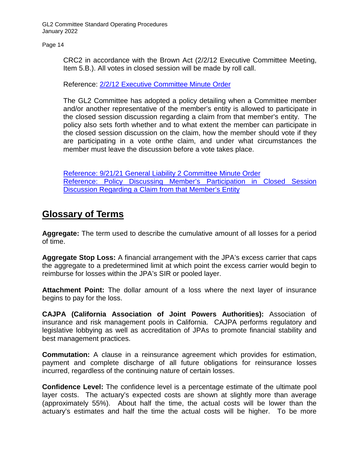CRC2 in accordance with the Brown Act (2/2/12 Executive Committee Meeting, Item 5.B.). All votes in closed session will be made by roll call.

Reference: [2/2/12 Executive Committee Minute Order](http://www.prismrisk.gov/documents/exec/exec-minord-020212-pdf/)

The GL2 Committee has adopted a policy detailing when a Committee member and/or another representative of the member's entity is allowed to participate in the closed session discussion regarding a claim from that member's entity. The policy also sets forth whether and to what extent the member can participate in the closed session discussion on the claim, how the member should vote if they are participating in a vote onthe claim, and under what circumstances the member must leave the discussion before a vote takes place.

[Reference: 9/21/21 General Liability 2 Committee Minute Order](https://www.prismrisk.gov/documents/glii/gl2-open-minord-4-b-092121/) Reference: [Policy Discussing Member's Participation in Closed Session](https://www.prismrisk.gov/documents/glii/gl2-policy-regarding-members-participation-in-closed-session/)  [Discussion Regarding a Claim from that Member's Entity](https://www.prismrisk.gov/documents/glii/gl2-policy-regarding-members-participation-in-closed-session/)

## <span id="page-13-0"></span>**Glossary of Terms**

**Aggregate:** The term used to describe the cumulative amount of all losses for a period of time.

**Aggregate Stop Loss:** A financial arrangement with the JPA's excess carrier that caps the aggregate to a predetermined limit at which point the excess carrier would begin to reimburse for losses within the JPA's SIR or pooled layer.

**Attachment Point:** The dollar amount of a loss where the next layer of insurance begins to pay for the loss.

**CAJPA (California Association of Joint Powers Authorities):** Association of insurance and risk management pools in California. CAJPA performs regulatory and legislative lobbying as well as accreditation of JPAs to promote financial stability and best management practices.

**Commutation:** A clause in a reinsurance agreement which provides for estimation, payment and complete discharge of all future obligations for reinsurance losses incurred, regardless of the continuing nature of certain losses.

**Confidence Level:** The confidence level is a percentage estimate of the ultimate pool layer costs. The actuary's expected costs are shown at slightly more than average (approximately 55%). About half the time, the actual costs will be lower than the actuary's estimates and half the time the actual costs will be higher. To be more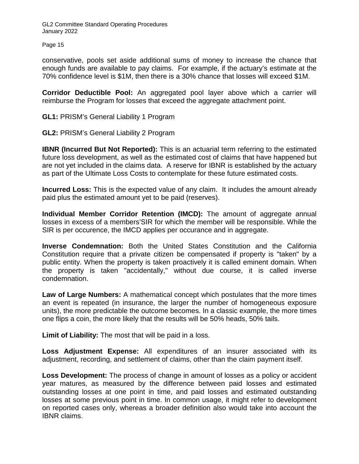Page 15

conservative, pools set aside additional sums of money to increase the chance that enough funds are available to pay claims. For example, if the actuary's estimate at the 70% confidence level is \$1M, then there is a 30% chance that losses will exceed \$1M.

**Corridor Deductible Pool:** An aggregated pool layer above which a carrier will reimburse the Program for losses that exceed the aggregate attachment point.

**GL1:** PRISM's General Liability 1 Program

**GL2:** PRISM's General Liability 2 Program

**IBNR (Incurred But Not Reported):** This is an actuarial term referring to the estimated future loss development, as well as the estimated cost of claims that have happened but are not yet included in the claims data. A reserve for IBNR is established by the actuary as part of the Ultimate Loss Costs to contemplate for these future estimated costs.

**Incurred Loss:** This is the expected value of any claim. It includes the amount already paid plus the estimated amount yet to be paid (reserves).

**Individual Member Corridor Retention (IMCD):** The amount of aggregate annual losses in excess of a members'SIR for which the member will be responsible. While the SIR is per occurence, the IMCD applies per occurance and in aggregate.

**Inverse Condemnation:** Both the United States Constitution and the California Constitution require that a private citizen be compensated if property is "taken" by a public entity. When the property is taken proactively it is called eminent domain. When the property is taken "accidentally," without due course, it is called inverse condemnation.

**Law of Large Numbers:** A mathematical concept which postulates that the more times an event is repeated (in insurance, the larger the number of homogeneous exposure units), the more predictable the outcome becomes. In a classic example, the more times one flips a coin, the more likely that the results will be 50% heads, 50% tails.

**Limit of Liability:** The most that will be paid in a loss.

**Loss Adjustment Expense:** All expenditures of an insurer associated with its adjustment, recording, and settlement of claims, other than the claim payment itself.

**Loss Development:** The process of change in amount of losses as a policy or accident year matures, as measured by the difference between paid losses and estimated outstanding losses at one point in time, and paid losses and estimated outstanding losses at some previous point in time. In common usage, it might refer to development on reported cases only, whereas a broader definition also would take into account the IBNR claims.